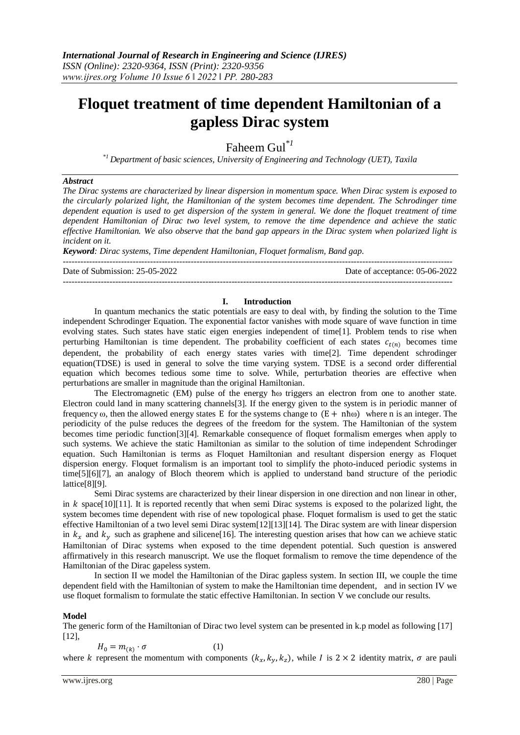# **Floquet treatment of time dependent Hamiltonian of a gapless Dirac system**

Faheem Gul*\*1*

*\*1 Department of basic sciences, University of Engineering and Technology (UET), Taxila*

## *Abstract*

*The Dirac systems are characterized by linear dispersion in momentum space. When Dirac system is exposed to the circularly polarized light, the Hamiltonian of the system becomes time dependent. The Schrodinger time dependent equation is used to get dispersion of the system in general. We done the floquet treatment of time dependent Hamiltonian of Dirac two level system, to remove the time dependence and achieve the static effective Hamiltonian. We also observe that the band gap appears in the Dirac system when polarized light is incident on it.*

*Keyword: Dirac systems, Time dependent Hamiltonian, Floquet formalism, Band gap.*

-------------------------------------------------------------------------------------------------------------------------------------- Date of Submission: 25-05-2022 Date of acceptance: 05-06-2022 --------------------------------------------------------------------------------------------------------------------------------------

## **I. Introduction**

In quantum mechanics the static potentials are easy to deal with, by finding the solution to the Time independent Schrodinger Equation. The exponential factor vanishes with mode square of wave function in time evolving states. Such states have static eigen energies independent of time[1]. Problem tends to rise when perturbing Hamiltonian is time dependent. The probability coefficient of each states  $c_{t(n)}$  becomes time dependent, the probability of each energy states varies with time[2]. Time dependent schrodinger equation(TDSE) is used in general to solve the time varying system. TDSE is a second order differential equation which becomes tedious some time to solve. While, perturbation theories are effective when perturbations are smaller in magnitude than the original Hamiltonian.

The Electromagnetic (EM) pulse of the energy  $\hbar \omega$  triggers an electron from one to another state. Electron could land in many scattering channels[3]. If the energy given to the system is in periodic manner of frequency  $\omega$ , then the allowed energy states E for the systems change to  $(E + nh\omega)$  where n is an integer. The periodicity of the pulse reduces the degrees of the freedom for the system. The Hamiltonian of the system becomes time periodic function[3][4]. Remarkable consequence of floquet formalism emerges when apply to such systems. We achieve the static Hamiltonian as similar to the solution of time independent Schrodinger equation. Such Hamiltonian is terms as Floquet Hamiltonian and resultant dispersion energy as Floquet dispersion energy. Floquet formalism is an important tool to simplify the photo-induced periodic systems in time[5][6][7], an analogy of Bloch theorem which is applied to understand band structure of the periodic lattice[8][9].

Semi Dirac systems are characterized by their linear dispersion in one direction and non linear in other, in k space[10][11]. It is reported recently that when semi Dirac systems is exposed to the polarized light, the system becomes time dependent with rise of new topological phase. Floquet formalism is used to get the static effective Hamiltonian of a two level semi Dirac system[12][13][14]. The Dirac system are with linear dispersion in  $k_x$  and  $k_y$  such as graphene and silicene[16]. The interesting question arises that how can we achieve static Hamiltonian of Dirac systems when exposed to the time dependent potential. Such question is answered affirmatively in this research manuscript. We use the floquet formalism to remove the time dependence of the Hamiltonian of the Dirac gapeless system.

In section II we model the Hamiltonian of the Dirac gapless system. In section III, we couple the time dependent field with the Hamiltonian of system to make the Hamiltonian time dependent, and in section IV we use floquet formalism to formulate the static effective Hamiltonian. In section V we conclude our results.

#### **Model**

The generic form of the Hamiltonian of Dirac two level system can be presented in k.p model as following [17]  $[12]$ ,

$$
H_0 = m_{(k)} \cdot \sigma \tag{1}
$$

where k represent the momentum with components  $(k_x, k_y, k_z)$ , while I is  $2 \times 2$  identity matrix,  $\sigma$  are pauli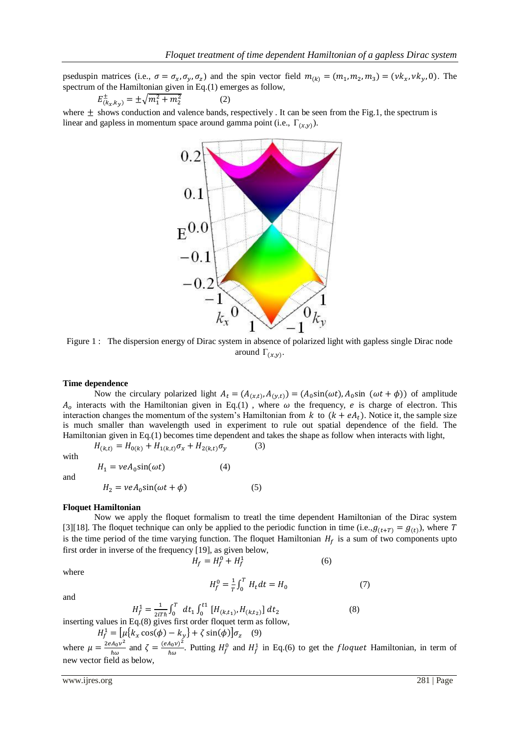pseduspin matrices (i.e.,  $\sigma = \sigma_x, \sigma_y, \sigma_z$ ) and the spin vector field  $m_{(k)} = (m_1, m_2, m_3) = (vk_x, vk_y, 0)$ . The spectrum of the Hamiltonian given in Eq.(1) emerges as follow,

$$
E_{(k_x,k_y)}^{\pm} = \pm \sqrt{m_1^2 + m_2^2} \tag{2}
$$

where  $\pm$  shows conduction and valence bands, respectively. It can be seen from the Fig.1, the spectrum is linear and gapless in momentum space around gamma point (i.e.,  $\Gamma_{(x,y)}$ ).



Figure 1 : The dispersion energy of Dirac system in absence of polarized light with gapless single Dirac node around  $\Gamma_{(x,y)}$ .

### **Time dependence**

Now the circulary polarized light  $A_t = (A_{(x,t)}, A_{(y,t)}) = (A_0 \sin(\omega t), A_0 \sin(\omega t + \phi))$  of amplitude  $A_{\rho}$  interacts with the Hamiltonian given in Eq.(1), where  $\omega$  the frequency, e is charge of electron. This interaction changes the momentum of the system's Hamiltonian from  $k$  to  $(k + eA_t)$ . Notice it, the sample size is much smaller than wavelength used in experiment to rule out spatial dependence of the field. The Hamiltonian given in Eq.(1) becomes time dependent and takes the shape as follow when interacts with light,

with

$$
H_{(k,t)} = H_{0(k)} + H_{1(k,t)}\sigma_x + H_{2(k,t)}\sigma_y
$$
 (3)

 $H_1 = \nu e A_0 \sin(\omega t)$  (4)

and

$$
H_2 = \nu e A_0 \sin(\omega t + \phi) \tag{5}
$$

### **Floquet Hamiltonian**

Now we apply the floquet formalism to treatl the time dependent Hamiltonian of the Dirac system [3][18]. The floquet technique can only be applied to the periodic function in time (i.e.,  $g_{(t+T)} = g_{(t)}$ ), where is the time period of the time varying function. The floquet Hamiltonian  $H_f$  is a sum of two components upto first order in inverse of the frequency [19], as given below,

 $0 \perp H^1$ (6)

where

$$
H_f^0 = \frac{1}{T} \int_0^T H_t dt = H_0 \tag{7}
$$

(8)

and

$$
H_f^0 = \frac{1}{T} \int_0^T H_t dt = H_0 \tag{7}
$$

$$
H_f^1 = \frac{1}{2iTh} \int_0^T dt_1 \int_0^{t_1} [H_{(k,t_1)}, H_{(k,t_2)}] dt_2
$$

inserting values in Eq.(8) gives first order floquet term as follow,

 $H_f^1 = [\mu({k_x \cos(\phi) - k_y} + \zeta \sin(\phi)]\sigma_z$  (9)

where  $\mu = \frac{2eA_0v^2}{r}$  $\frac{A_0 v^2}{\hbar \omega}$  and  $\zeta = \frac{(e A_0 v)^2}{\hbar \omega}$  $\frac{A_0 V^2}{\hbar \omega}$ . Putting  $H_f^0$  and  $H_f^1$  in Eq.(6) to get the *floquet* Hamiltonian, in term of new vector field as below,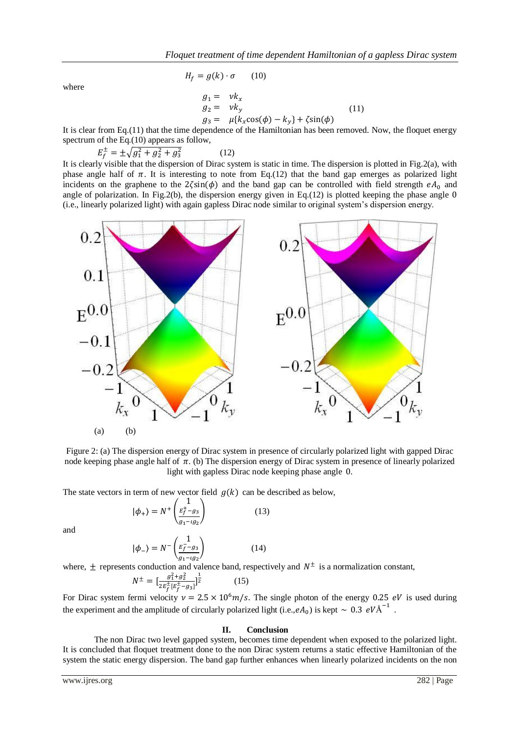where

$$
H_f = g(k) \cdot \sigma \qquad (10)
$$

$$
g_1 = v k_x
$$
  
\n
$$
g_2 = v k_y
$$
  
\n
$$
g_3 = \mu \{k_x \cos(\phi) - k_y\} + \zeta \sin(\phi)
$$
\n(11)

It is clear from Eq.(11) that the time dependence of the Hamiltonian has been removed. Now, the floquet energy spectrum of the Eq.(10) appears as follow.

$$
E_f^{\pm} = \pm \sqrt{g_1^2 + g_2^2 + g_3^2} \tag{12}
$$

It is clearly visible that the dispersion of Dirac system is static in time. The dispersion is plotted in Fig.2(a), with phase angle half of  $\pi$ . It is interesting to note from Eq.(12) that the band gap emerges as polarized light incidents on the graphene to the  $2\zeta\sin(\phi)$  and the band gap can be controlled with field strength  $eA_0$  and angle of polarization. In Fig.2(b), the dispersion energy given in Eq.(12) is plotted keeping the phase angle  $0$ (i.e., linearly polarized light) with again gapless Dirac node similar to original system's dispersion energy.



Figure 2: (a) The dispersion energy of Dirac system in presence of circularly polarized light with gapped Dirac node keeping phase angle half of  $\pi$ . (b) The dispersion energy of Dirac system in presence of linearly polarized light with gapless Dirac node keeping phase angle 0.

The state vectors in term of new vector field  $g(k)$  can be described as below,

$$
|\phi_{+}\rangle = N^{+}\left(\frac{1}{\frac{E_{f}^{+} - g_{3}}{g_{1} - \iota g_{2}}}\right) \tag{13}
$$

and

$$
|\phi_{-}\rangle = N^{-}\begin{pmatrix} 1\\ \frac{E_{f}^{-}-g_{3}}{g_{1}-ig_{2}} \end{pmatrix}
$$
 (14)

where,  $\pm$  represents conduction and valence band, respectively and  $N^{\pm}$  is a normalization constant,

$$
N^{\pm} = \left[\frac{g_1^2 + g_2^2}{2E_f^{\pm}[E_f^{\pm} - g_3]}\right]^{\frac{1}{2}} \tag{15}
$$

For Dirac system fermi velocity  $v = 2.5 \times 10^6 m/s$ . The single photon of the energy 0.25 eV is used during the experiment and the amplitude of circularly polarized light (i.e.,  $eA_0$ ) is kept  $\sim 0.3 eV \text{\AA}^{-1}$ .

# **II. Conclusion**

The non Dirac two level gapped system, becomes time dependent when exposed to the polarized light. It is concluded that floquet treatment done to the non Dirac system returns a static effective Hamiltonian of the system the static energy dispersion. The band gap further enhances when linearly polarized incidents on the non